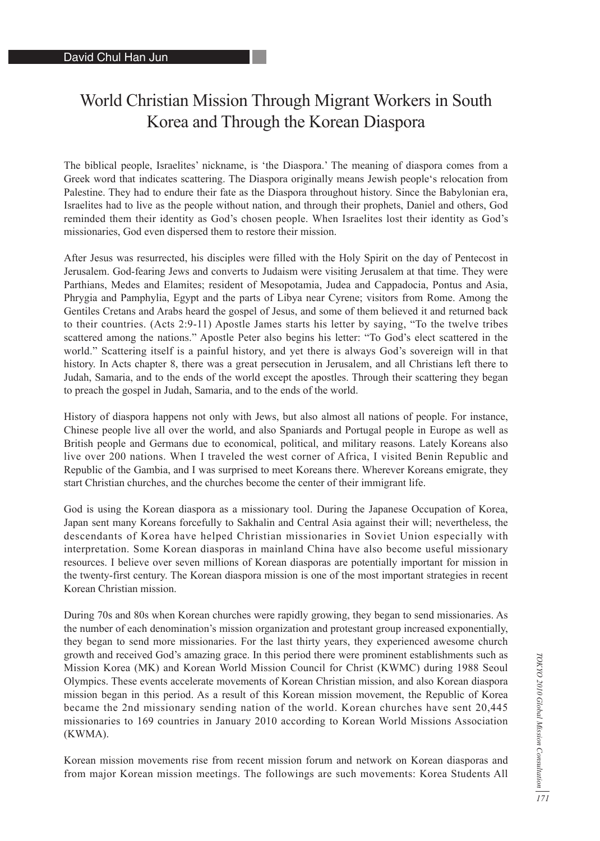## World Christian Mission Through Migrant Workers in South Korea and Through the Korean Diaspora

The biblical people, Israelites' nickname, is 'the Diaspora.' The meaning of diaspora comes from a Greek word that indicates scattering. The Diaspora originally means Jewish people's relocation from Palestine. They had to endure their fate as the Diaspora throughout history. Since the Babylonian era, Israelites had to live as the people without nation, and through their prophets, Daniel and others, God reminded them their identity as God's chosen people. When Israelites lost their identity as God's missionaries, God even dispersed them to restore their mission.

After Jesus was resurrected, his disciples were filled with the Holy Spirit on the day of Pentecost in Jerusalem. God-fearing Jews and converts to Judaism were visiting Jerusalem at that time. They were Parthians, Medes and Elamites; resident of Mesopotamia, Judea and Cappadocia, Pontus and Asia, Phrygia and Pamphylia, Egypt and the parts of Libya near Cyrene; visitors from Rome. Among the Gentiles Cretans and Arabs heard the gospel of Jesus, and some of them believed it and returned back to their countries. (Acts 2:9-11) Apostle James starts his letter by saying, "To the twelve tribes scattered among the nations." Apostle Peter also begins his letter: "To God's elect scattered in the world." Scattering itself is a painful history, and yet there is always God's sovereign will in that history. In Acts chapter 8, there was a great persecution in Jerusalem, and all Christians left there to Judah, Samaria, and to the ends of the world except the apostles. Through their scattering they began to preach the gospel in Judah, Samaria, and to the ends of the world.

History of diaspora happens not only with Jews, but also almost all nations of people. For instance, Chinese people live all over the world, and also Spaniards and Portugal people in Europe as well as British people and Germans due to economical, political, and military reasons. Lately Koreans also live over 200 nations. When I traveled the west corner of Africa, I visited Benin Republic and Republic of the Gambia, and I was surprised to meet Koreans there. Wherever Koreans emigrate, they start Christian churches, and the churches become the center of their immigrant life.

God is using the Korean diaspora as a missionary tool. During the Japanese Occupation of Korea, Japan sent many Koreans forcefully to Sakhalin and Central Asia against their will; nevertheless, the descendants of Korea have helped Christian missionaries in Soviet Union especially with interpretation. Some Korean diasporas in mainland China have also become useful missionary resources. I believe over seven millions of Korean diasporas are potentially important for mission in the twenty-first century. The Korean diaspora mission is one of the most important strategies in recent Korean Christian mission.

During 70s and 80s when Korean churches were rapidly growing, they began to send missionaries. As the number of each denomination's mission organization and protestant group increased exponentially, they began to send more missionaries. For the last thirty years, they experienced awesome church growth and received God's amazing grace. In this period there were prominent establishments such as Mission Korea (MK) and Korean World Mission Council for Christ (KWMC) during 1988 Seoul Olympics. These events accelerate movements of Korean Christian mission, and also Korean diaspora mission began in this period. As a result of this Korean mission movement, the Republic of Korea became the 2nd missionary sending nation of the world. Korean churches have sent 20,445 missionaries to 169 countries in January 2010 according to Korean World Missions Association (KWMA).

Korean mission movements rise from recent mission forum and network on Korean diasporas and from major Korean mission meetings. The followings are such movements: Korea Students All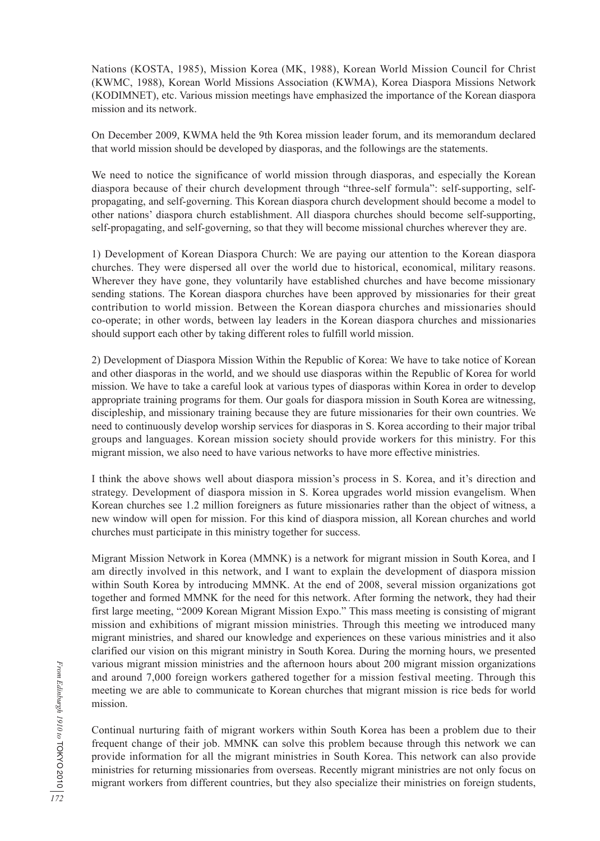Nations (KOSTA, 1985), Mission Korea (MK, 1988), Korean World Mission Council for Christ (KWMC, 1988), Korean World Missions Association (KWMA), Korea Diaspora Missions Network (KODIMNET), etc. Various mission meetings have emphasized the importance of the Korean diaspora mission and its network.

On December 2009, KWMA held the 9th Korea mission leader forum, and its memorandum declared that world mission should be developed by diasporas, and the followings are the statements.

We need to notice the significance of world mission through diasporas, and especially the Korean diaspora because of their church development through "three-self formula": self-supporting, selfpropagating, and self-governing. This Korean diaspora church development should become a model to other nations' diaspora church establishment. All diaspora churches should become self-supporting, self-propagating, and self-governing, so that they will become missional churches wherever they are.

1) Development of Korean Diaspora Church: We are paying our attention to the Korean diaspora churches. They were dispersed all over the world due to historical, economical, military reasons. Wherever they have gone, they voluntarily have established churches and have become missionary sending stations. The Korean diaspora churches have been approved by missionaries for their great contribution to world mission. Between the Korean diaspora churches and missionaries should co-operate; in other words, between lay leaders in the Korean diaspora churches and missionaries should support each other by taking different roles to fulfill world mission.

2) Development of Diaspora Mission Within the Republic of Korea: We have to take notice of Korean and other diasporas in the world, and we should use diasporas within the Republic of Korea for world mission. We have to take a careful look at various types of diasporas within Korea in order to develop appropriate training programs for them. Our goals for diaspora mission in South Korea are witnessing, discipleship, and missionary training because they are future missionaries for their own countries. We need to continuously develop worship services for diasporas in S. Korea according to their major tribal groups and languages. Korean mission society should provide workers for this ministry. For this migrant mission, we also need to have various networks to have more effective ministries.

I think the above shows well about diaspora mission's process in S. Korea, and it's direction and strategy. Development of diaspora mission in S. Korea upgrades world mission evangelism. When Korean churches see 1.2 million foreigners as future missionaries rather than the object of witness, a new window will open for mission. For this kind of diaspora mission, all Korean churches and world churches must participate in this ministry together for success.

Migrant Mission Network in Korea (MMNK) is a network for migrant mission in South Korea, and I am directly involved in this network, and I want to explain the development of diaspora mission within South Korea by introducing MMNK. At the end of 2008, several mission organizations got together and formed MMNK for the need for this network. After forming the network, they had their first large meeting, "2009 Korean Migrant Mission Expo." This mass meeting is consisting of migrant mission and exhibitions of migrant mission ministries. Through this meeting we introduced many migrant ministries, and shared our knowledge and experiences on these various ministries and it also clarified our vision on this migrant ministry in South Korea. During the morning hours, we presented various migrant mission ministries and the afternoon hours about 200 migrant mission organizations and around 7,000 foreign workers gathered together for a mission festival meeting. Through this meeting we are able to communicate to Korean churches that migrant mission is rice beds for world mission.

Continual nurturing faith of migrant workers within South Korea has been a problem due to their frequent change of their job. MMNK can solve this problem because through this network we can provide information for all the migrant ministries in South Korea. This network can also provide ministries for returning missionaries from overseas. Recently migrant ministries are not only focus on migrant workers from different countries, but they also specialize their ministries on foreign students,